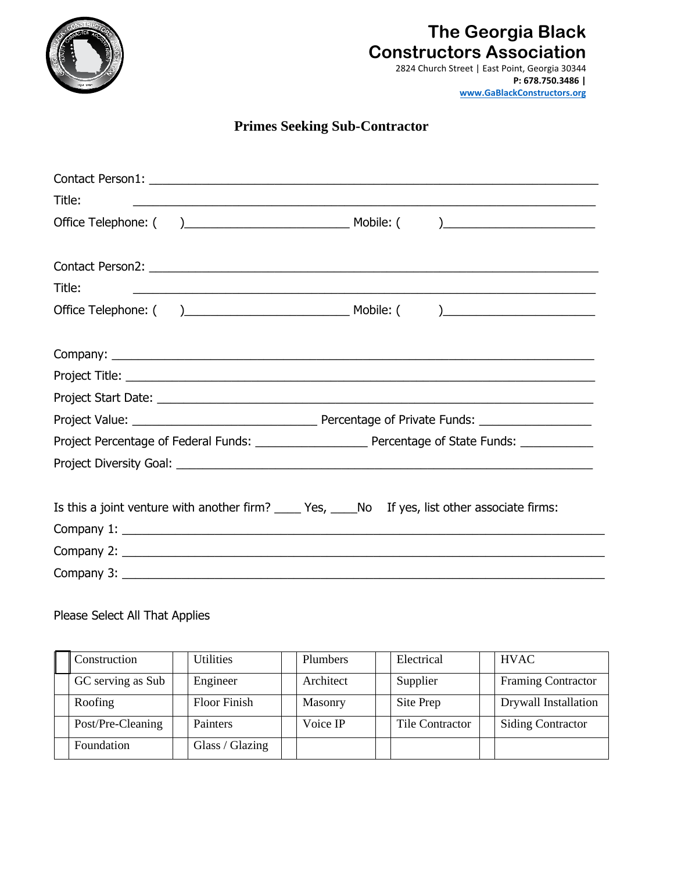

## **The Georgia Black Constructors Association**

2824 Church Street | East Point, Georgia 30344 **[P: 678.750.3486 |](http://www.gablackconstructors.org/)  www.GaBlackConstructors.org**

## **Primes Seeking Sub-Contractor**

| Title:                                                                                            | ,我们也不能在这里的人,我们也不能在这里的人,我们也不能在这里的人,我们也不能在这里的人,我们也不能在这里的人,我们也不能在这里的人,我们也不能在这里的人,我们也 |  |  |  |  |
|---------------------------------------------------------------------------------------------------|-----------------------------------------------------------------------------------|--|--|--|--|
|                                                                                                   |                                                                                   |  |  |  |  |
|                                                                                                   |                                                                                   |  |  |  |  |
| Title:                                                                                            |                                                                                   |  |  |  |  |
|                                                                                                   |                                                                                   |  |  |  |  |
|                                                                                                   |                                                                                   |  |  |  |  |
|                                                                                                   |                                                                                   |  |  |  |  |
|                                                                                                   |                                                                                   |  |  |  |  |
|                                                                                                   |                                                                                   |  |  |  |  |
|                                                                                                   |                                                                                   |  |  |  |  |
|                                                                                                   |                                                                                   |  |  |  |  |
|                                                                                                   |                                                                                   |  |  |  |  |
|                                                                                                   |                                                                                   |  |  |  |  |
| Is this a joint venture with another firm? _____ Yes, _____No If yes, list other associate firms: |                                                                                   |  |  |  |  |
|                                                                                                   |                                                                                   |  |  |  |  |
|                                                                                                   |                                                                                   |  |  |  |  |
|                                                                                                   |                                                                                   |  |  |  |  |

## Please Select All That Applies

| Construction      | Utilities           | Plumbers  | Electrical      | <b>HVAC</b>               |
|-------------------|---------------------|-----------|-----------------|---------------------------|
| GC serving as Sub | Engineer            | Architect | Supplier        | <b>Framing Contractor</b> |
| Roofing           | <b>Floor Finish</b> | Masonry   | Site Prep       | Drywall Installation      |
| Post/Pre-Cleaning | Painters            | Voice IP  | Tile Contractor | <b>Siding Contractor</b>  |
| Foundation        | Glass / Glazing     |           |                 |                           |